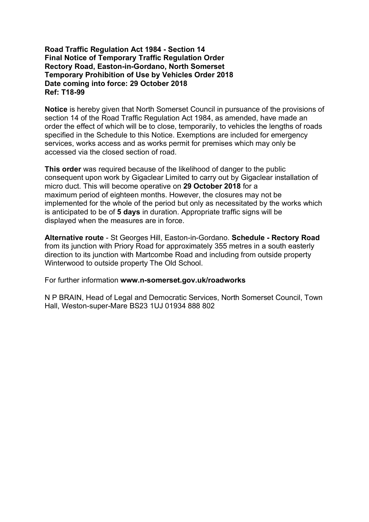#### **Road Traffic Regulation Act 1984 - Section 14 Final Notice of Temporary Traffic Regulation Order Rectory Road, Easton-in-Gordano, North Somerset Temporary Prohibition of Use by Vehicles Order 2018 Date coming into force: 29 October 2018 Ref: T18-99**

**Notice** is hereby given that North Somerset Council in pursuance of the provisions of section 14 of the Road Traffic Regulation Act 1984, as amended, have made an order the effect of which will be to close, temporarily, to vehicles the lengths of roads specified in the Schedule to this Notice. Exemptions are included for emergency services, works access and as works permit for premises which may only be accessed via the closed section of road.

**This order** was required because of the likelihood of danger to the public consequent upon work by Gigaclear Limited to carry out by Gigaclear installation of micro duct. This will become operative on **29 October 2018** for a maximum period of eighteen months. However, the closures may not be implemented for the whole of the period but only as necessitated by the works which is anticipated to be of **5 days** in duration. Appropriate traffic signs will be displayed when the measures are in force.

**Alternative route** - St Georges Hill, Easton-in-Gordano. **Schedule - Rectory Road** from its junction with Priory Road for approximately 355 metres in a south easterly direction to its junction with Martcombe Road and including from outside property Winterwood to outside property The Old School.

For further information **www.n-somerset.gov.uk/roadworks**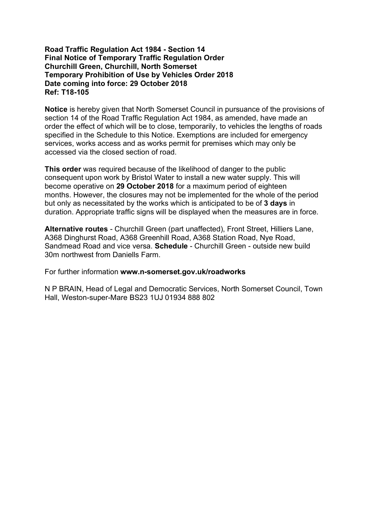# **Road Traffic Regulation Act 1984 - Section 14 Final Notice of Temporary Traffic Regulation Order Churchill Green, Churchill, North Somerset Temporary Prohibition of Use by Vehicles Order 2018 Date coming into force: 29 October 2018 Ref: T18-105**

**Notice** is hereby given that North Somerset Council in pursuance of the provisions of section 14 of the Road Traffic Regulation Act 1984, as amended, have made an order the effect of which will be to close, temporarily, to vehicles the lengths of roads specified in the Schedule to this Notice. Exemptions are included for emergency services, works access and as works permit for premises which may only be accessed via the closed section of road.

**This order** was required because of the likelihood of danger to the public consequent upon work by Bristol Water to install a new water supply. This will become operative on **29 October 2018** for a maximum period of eighteen months. However, the closures may not be implemented for the whole of the period but only as necessitated by the works which is anticipated to be of **3 days** in duration. Appropriate traffic signs will be displayed when the measures are in force.

**Alternative routes** - Churchill Green (part unaffected), Front Street, Hilliers Lane, A368 Dinghurst Road, A368 Greenhill Road, A368 Station Road, Nye Road, Sandmead Road and vice versa. **Schedule** - Churchill Green - outside new build 30m northwest from Daniells Farm.

For further information **www.n-somerset.gov.uk/roadworks**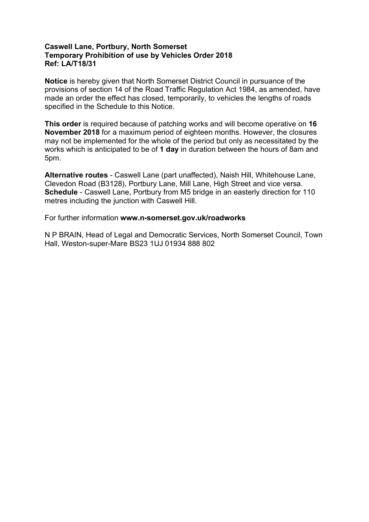# **Caswell Lane, Portbury, North Somerset Temporary Prohibition of use by Vehicles Order 2018 Ref: LA/T18/31**

**Notice** is hereby given that North Somerset District Council in pursuance of the provisions of section 14 of the Road Traffic Regulation Act 1984, as amended, have made an order the effect has closed, temporarily, to vehicles the lengths of roads specified in the Schedule to this Notice.

**This order** is required because of patching works and will become operative on **16 November 2018** for a maximum period of eighteen months. However, the closures may not be implemented for the whole of the period but only as necessitated by the works which is anticipated to be of **1 day** in duration between the hours of 8am and 5pm.

**Alternative routes** - Caswell Lane (part unaffected), Naish Hill, Whitehouse Lane, Clevedon Road (B3128), Portbury Lane, Mill Lane, High Street and vice versa. **Schedule** - Caswell Lane, Portbury from M5 bridge in an easterly direction for 110 metres including the junction with Caswell Hill.

For further information **www.n-somerset.gov.uk/roadworks**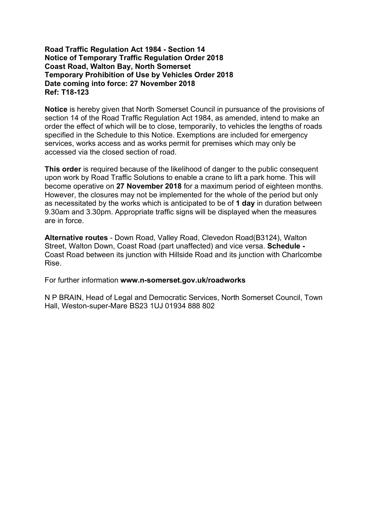# **Road Traffic Regulation Act 1984 - Section 14 Notice of Temporary Traffic Regulation Order 2018 Coast Road, Walton Bay, North Somerset Temporary Prohibition of Use by Vehicles Order 2018 Date coming into force: 27 November 2018 Ref: T18-123**

**Notice** is hereby given that North Somerset Council in pursuance of the provisions of section 14 of the Road Traffic Regulation Act 1984, as amended, intend to make an order the effect of which will be to close, temporarily, to vehicles the lengths of roads specified in the Schedule to this Notice. Exemptions are included for emergency services, works access and as works permit for premises which may only be accessed via the closed section of road.

**This order** is required because of the likelihood of danger to the public consequent upon work by Road Traffic Solutions to enable a crane to lift a park home. This will become operative on **27 November 2018** for a maximum period of eighteen months. However, the closures may not be implemented for the whole of the period but only as necessitated by the works which is anticipated to be of **1 day** in duration between 9.30am and 3.30pm. Appropriate traffic signs will be displayed when the measures are in force.

**Alternative routes** - Down Road, Valley Road, Clevedon Road(B3124), Walton Street, Walton Down, Coast Road (part unaffected) and vice versa. **Schedule -** Coast Road between its junction with Hillside Road and its junction with Charlcombe Rise.

For further information **www.n-somerset.gov.uk/roadworks**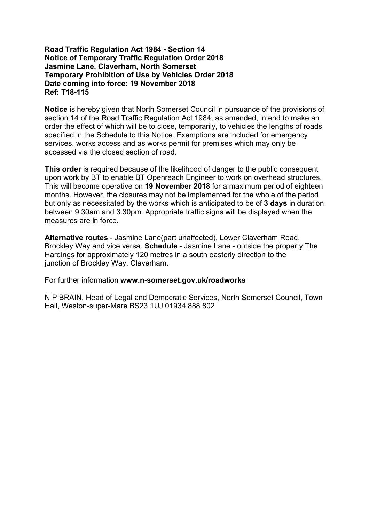# **Road Traffic Regulation Act 1984 - Section 14 Notice of Temporary Traffic Regulation Order 2018 Jasmine Lane, Claverham, North Somerset Temporary Prohibition of Use by Vehicles Order 2018 Date coming into force: 19 November 2018 Ref: T18-115**

**Notice** is hereby given that North Somerset Council in pursuance of the provisions of section 14 of the Road Traffic Regulation Act 1984, as amended, intend to make an order the effect of which will be to close, temporarily, to vehicles the lengths of roads specified in the Schedule to this Notice. Exemptions are included for emergency services, works access and as works permit for premises which may only be accessed via the closed section of road.

**This order** is required because of the likelihood of danger to the public consequent upon work by BT to enable BT Openreach Engineer to work on overhead structures. This will become operative on **19 November 2018** for a maximum period of eighteen months. However, the closures may not be implemented for the whole of the period but only as necessitated by the works which is anticipated to be of **3 days** in duration between 9.30am and 3.30pm. Appropriate traffic signs will be displayed when the measures are in force.

**Alternative routes** - Jasmine Lane(part unaffected), Lower Claverham Road, Brockley Way and vice versa. **Schedule** - Jasmine Lane - outside the property The Hardings for approximately 120 metres in a south easterly direction to the junction of Brockley Way, Claverham.

For further information **www.n-somerset.gov.uk/roadworks**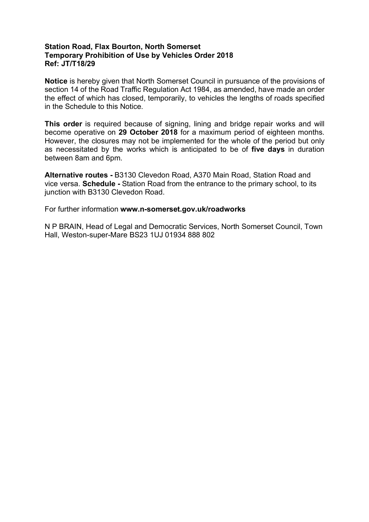# **Station Road, Flax Bourton, North Somerset Temporary Prohibition of Use by Vehicles Order 2018 Ref: JT/T18/29**

**Notice** is hereby given that North Somerset Council in pursuance of the provisions of section 14 of the Road Traffic Regulation Act 1984, as amended, have made an order the effect of which has closed, temporarily, to vehicles the lengths of roads specified in the Schedule to this Notice.

**This order** is required because of signing, lining and bridge repair works and will become operative on **29 October 2018** for a maximum period of eighteen months. However, the closures may not be implemented for the whole of the period but only as necessitated by the works which is anticipated to be of **five days** in duration between 8am and 6pm.

**Alternative routes -** B3130 Clevedon Road, A370 Main Road, Station Road and vice versa. **Schedule -** Station Road from the entrance to the primary school, to its junction with B3130 Clevedon Road.

For further information **www.n-somerset.gov.uk/roadworks**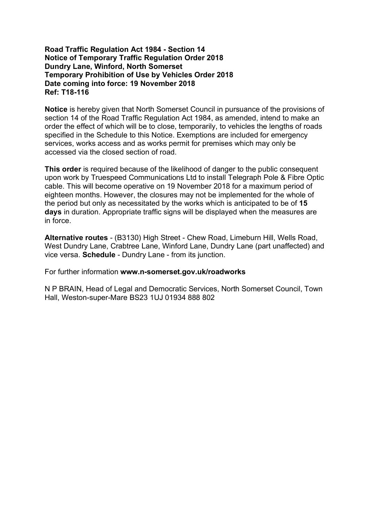# **Road Traffic Regulation Act 1984 - Section 14 Notice of Temporary Traffic Regulation Order 2018 Dundry Lane, Winford, North Somerset Temporary Prohibition of Use by Vehicles Order 2018 Date coming into force: 19 November 2018 Ref: T18-116**

**Notice** is hereby given that North Somerset Council in pursuance of the provisions of section 14 of the Road Traffic Regulation Act 1984, as amended, intend to make an order the effect of which will be to close, temporarily, to vehicles the lengths of roads specified in the Schedule to this Notice. Exemptions are included for emergency services, works access and as works permit for premises which may only be accessed via the closed section of road.

**This order** is required because of the likelihood of danger to the public consequent upon work by Truespeed Communications Ltd to install Telegraph Pole & Fibre Optic cable. This will become operative on 19 November 2018 for a maximum period of eighteen months. However, the closures may not be implemented for the whole of the period but only as necessitated by the works which is anticipated to be of **15 days** in duration. Appropriate traffic signs will be displayed when the measures are in force.

**Alternative routes** - (B3130) High Street - Chew Road, Limeburn Hill, Wells Road, West Dundry Lane, Crabtree Lane, Winford Lane, Dundry Lane (part unaffected) and vice versa. **Schedule** - Dundry Lane - from its junction.

For further information **www.n-somerset.gov.uk/roadworks**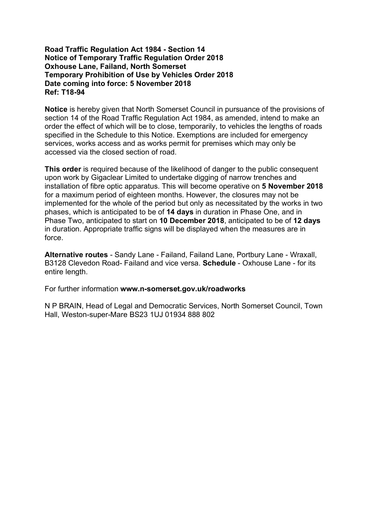# **Road Traffic Regulation Act 1984 - Section 14 Notice of Temporary Traffic Regulation Order 2018 Oxhouse Lane, Failand, North Somerset Temporary Prohibition of Use by Vehicles Order 2018 Date coming into force: 5 November 2018 Ref: T18-94**

**Notice** is hereby given that North Somerset Council in pursuance of the provisions of section 14 of the Road Traffic Regulation Act 1984, as amended, intend to make an order the effect of which will be to close, temporarily, to vehicles the lengths of roads specified in the Schedule to this Notice. Exemptions are included for emergency services, works access and as works permit for premises which may only be accessed via the closed section of road.

**This order** is required because of the likelihood of danger to the public consequent upon work by Gigaclear Limited to undertake digging of narrow trenches and installation of fibre optic apparatus. This will become operative on **5 November 2018** for a maximum period of eighteen months. However, the closures may not be implemented for the whole of the period but only as necessitated by the works in two phases, which is anticipated to be of **14 days** in duration in Phase One, and in Phase Two, anticipated to start on **10 December 2018**, anticipated to be of **12 days** in duration. Appropriate traffic signs will be displayed when the measures are in force.

**Alternative routes** - Sandy Lane - Failand, Failand Lane, Portbury Lane - Wraxall, B3128 Clevedon Road- Failand and vice versa. **Schedule** - Oxhouse Lane - for its entire length.

For further information **www.n-somerset.gov.uk/roadworks**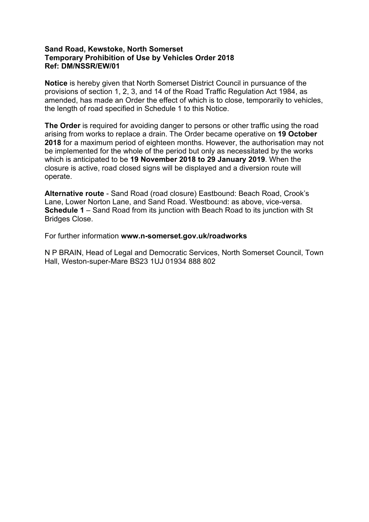# **Sand Road, Kewstoke, North Somerset Temporary Prohibition of Use by Vehicles Order 2018 Ref: DM/NSSR/EW/01**

**Notice** is hereby given that North Somerset District Council in pursuance of the provisions of section 1, 2, 3, and 14 of the Road Traffic Regulation Act 1984, as amended, has made an Order the effect of which is to close, temporarily to vehicles, the length of road specified in Schedule 1 to this Notice.

**The Order** is required for avoiding danger to persons or other traffic using the road arising from works to replace a drain. The Order became operative on **19 October 2018** for a maximum period of eighteen months. However, the authorisation may not be implemented for the whole of the period but only as necessitated by the works which is anticipated to be **19 November 2018 to 29 January 2019**. When the closure is active, road closed signs will be displayed and a diversion route will operate.

**Alternative route** - Sand Road (road closure) Eastbound: Beach Road, Crook's Lane, Lower Norton Lane, and Sand Road. Westbound: as above, vice-versa. **Schedule 1** – Sand Road from its junction with Beach Road to its junction with St Bridges Close.

For further information **www.n-somerset.gov.uk/roadworks**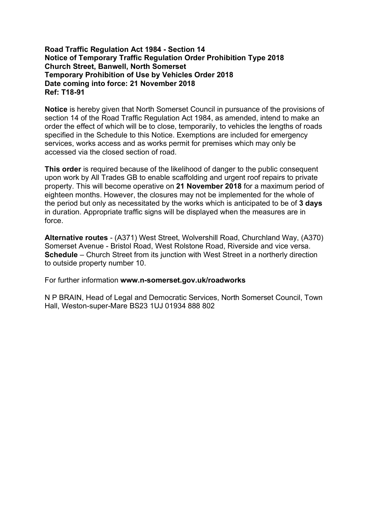# **Road Traffic Regulation Act 1984 - Section 14 Notice of Temporary Traffic Regulation Order Prohibition Type 2018 Church Street, Banwell, North Somerset Temporary Prohibition of Use by Vehicles Order 2018 Date coming into force: 21 November 2018 Ref: T18-91**

**Notice** is hereby given that North Somerset Council in pursuance of the provisions of section 14 of the Road Traffic Regulation Act 1984, as amended, intend to make an order the effect of which will be to close, temporarily, to vehicles the lengths of roads specified in the Schedule to this Notice. Exemptions are included for emergency services, works access and as works permit for premises which may only be accessed via the closed section of road.

**This order** is required because of the likelihood of danger to the public consequent upon work by All Trades GB to enable scaffolding and urgent roof repairs to private property. This will become operative on **21 November 2018** for a maximum period of eighteen months. However, the closures may not be implemented for the whole of the period but only as necessitated by the works which is anticipated to be of **3 days** in duration. Appropriate traffic signs will be displayed when the measures are in force.

**Alternative routes** - (A371) West Street, Wolvershill Road, Churchland Way, (A370) Somerset Avenue - Bristol Road, West Rolstone Road, Riverside and vice versa. **Schedule** – Church Street from its junction with West Street in a northerly direction to outside property number 10.

For further information **www.n-somerset.gov.uk/roadworks**